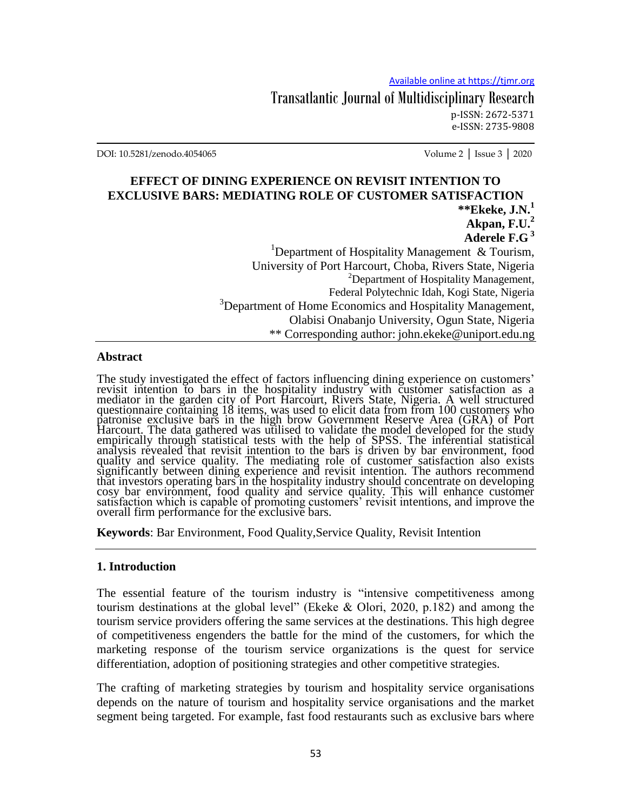Transatlantic Journal of Multidisciplinary Research p-ISSN: 2672-5371 e-ISSN: 2735-9808

DOI: 10.5281/zenodo.4054065 Volume 2 │ Issue 3 │ 2020

## **EFFECT OF DINING EXPERIENCE ON REVISIT INTENTION TO EXCLUSIVE BARS: MEDIATING ROLE OF CUSTOMER SATISFACTION \*\*Ekeke, J.N.<sup>1</sup>**

**Akpan, F.U.<sup>2</sup> Aderele F.G <sup>3</sup>** <sup>1</sup>Department of Hospitality Management & Tourism, University of Port Harcourt, Choba, Rivers State, Nigeria <sup>2</sup>Department of Hospitality Management, Federal Polytechnic Idah, Kogi State, Nigeria <sup>3</sup>Department of Home Economics and Hospitality Management, Olabisi Onabanjo University, Ogun State, Nigeria \*\* Corresponding author: john.ekeke@uniport.edu.ng

#### **Abstract**

The study investigated the effect of factors influencing dining experience on customers' revisit intention to bars in the hospitality industry with customer satisfaction as a mediator in the garden city of Port Harcourt, Rivers State, Nigeria. A well structured questionnaire containing 18 items, was used to elicit data from from 100 customers who patronise exclusive bars in the high brow Government Reserve Area (GRA) of Port Harcourt. The data gathered was utilised to validate the model developed for the study empirically through statistical tests with the help of SPSS. The inferential statistical analysis revealed that revisit intention to the bars is driven by bar environment, food quality and service quality. The mediating role of customer satisfaction also exists significantly between dining experience and revisit intention. The authors recommend that investors operating bars in the hospitality industry should concentrate on developing cosy bar environment, food quality and service quality. This will enhance customer satisfaction which is capable of promoting customers' revisit intentions, and improve the overall firm performance for the exclusive bars.

**Keywords:** Bar Environment, Food Quality, Service Quality, Revisit Intention

#### **1. Introduction**

The essential feature of the tourism industry is "intensive competitiveness among tourism destinations at the global level" (Ekeke & Olori, 2020, p.182) and among the tourism service providers offering the same services at the destinations. This high degree of competitiveness engenders the battle for the mind of the customers, for which the marketing response of the tourism service organizations is the quest for service differentiation, adoption of positioning strategies and other competitive strategies.

The crafting of marketing strategies by tourism and hospitality service organisations depends on the nature of tourism and hospitality service organisations and the market segment being targeted. For example, fast food restaurants such as exclusive bars where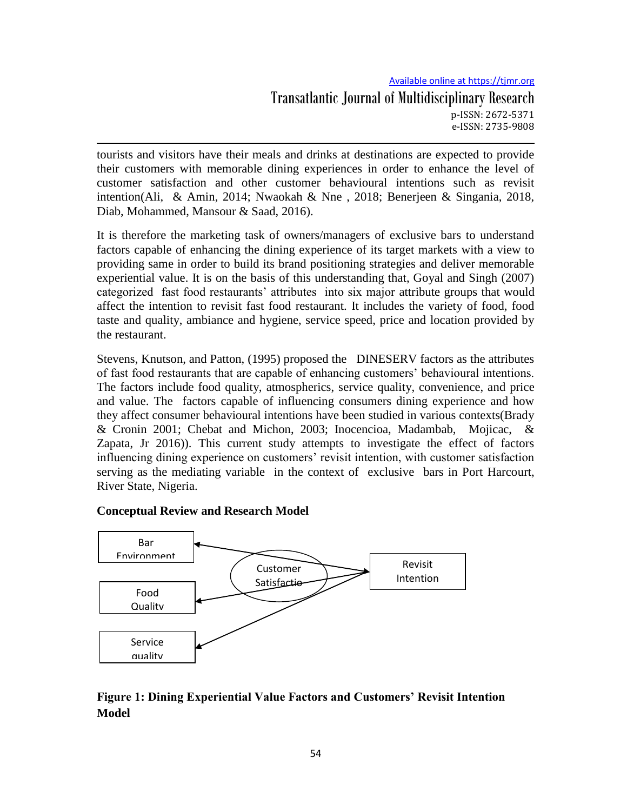# Available online at https://tjmr.org Transatlantic Journal of Multidisciplinary Research p-ISSN: 2672-5371 e-ISSN: 2735-9808

tourists and visitors have their meals and drinks at destinations are expected to provide their customers with memorable dining experiences in order to enhance the level of customer satisfaction and other customer behavioural intentions such as revisit intention(Ali, & Amin, 2014; Nwaokah & Nne , 2018; Benerjeen & Singania, 2018, Diab, Mohammed, Mansour & Saad, 2016).

It is therefore the marketing task of owners/managers of exclusive bars to understand factors capable of enhancing the dining experience of its target markets with a view to providing same in order to build its brand positioning strategies and deliver memorable experiential value. It is on the basis of this understanding that, Goyal and Singh (2007) categorized fast food restaurants' attributes into six major attribute groups that would affect the intention to revisit fast food restaurant. It includes the variety of food, food taste and quality, ambiance and hygiene, service speed, price and location provided by the restaurant.

Stevens, Knutson, and Patton, (1995) proposed the DINESERV factors as the attributes of fast food restaurants that are capable of enhancing customers' behavioural intentions. The factors include food quality, atmospherics, service quality, convenience, and price and value. The factors capable of influencing consumers dining experience and how they affect consumer behavioural intentions have been studied in various contexts(Brady & Cronin 2001; Chebat and Michon, 2003; Inocencioa, Madambab, Mojicac, & Zapata, Jr 2016)). This current study attempts to investigate the effect of factors influencing dining experience on customers' revisit intention, with customer satisfaction serving as the mediating variable in the context of exclusive bars in Port Harcourt, River State, Nigeria.

## **Conceptual Review and Research Model**



# **Figure 1: Dining Experiential Value Factors and Customers' Revisit Intention Model**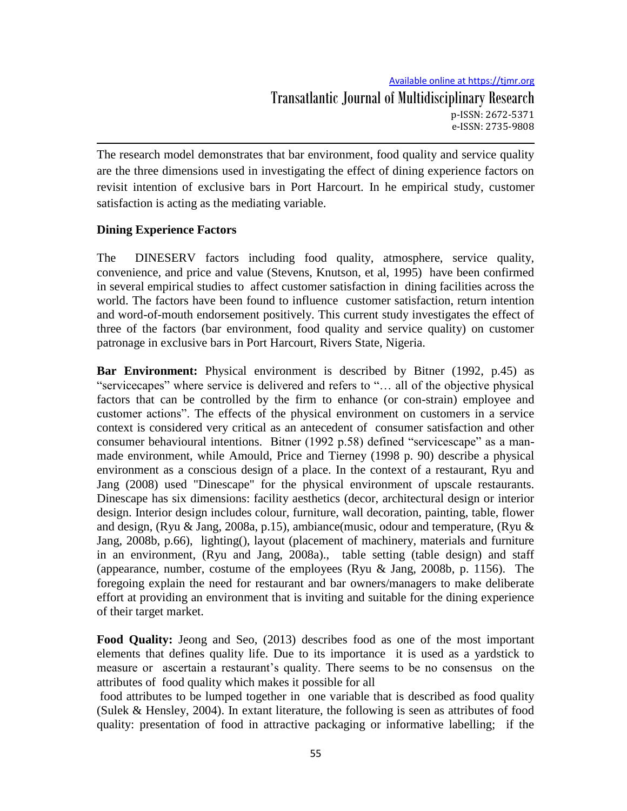The research model demonstrates that bar environment, food quality and service quality are the three dimensions used in investigating the effect of dining experience factors on revisit intention of exclusive bars in Port Harcourt. In he empirical study, customer satisfaction is acting as the mediating variable.

# **Dining Experience Factors**

The DINESERV factors including food quality, atmosphere, service quality, convenience, and price and value (Stevens, Knutson, et al, 1995) have been confirmed in several empirical studies to affect customer satisfaction in dining facilities across the world. The factors have been found to influence customer satisfaction, return intention and word-of-mouth endorsement positively. This current study investigates the effect of three of the factors (bar environment, food quality and service quality) on customer patronage in exclusive bars in Port Harcourt, Rivers State, Nigeria.

**Bar Environment:** Physical environment is described by Bitner (1992, p.45) as "servicecapes" where service is delivered and refers to "… all of the objective physical factors that can be controlled by the firm to enhance (or con-strain) employee and customer actions". The effects of the physical environment on customers in a service context is considered very critical as an antecedent of consumer satisfaction and other consumer behavioural intentions. Bitner (1992 p.58) defined "servicescape" as a manmade environment, while Amould, Price and Tierney (1998 p. 90) describe a physical environment as a conscious design of a place. In the context of a restaurant, Ryu and Jang (2008) used "Dinescape" for the physical environment of upscale restaurants. Dinescape has six dimensions: facility aesthetics (decor, architectural design or interior design. Interior design includes colour, furniture, wall decoration, painting, table, flower and design, (Ryu & Jang, 2008a, p.15), ambiance(music, odour and temperature, (Ryu & Jang, 2008b, p.66), lighting(), layout (placement of machinery, materials and furniture in an environment, (Ryu and Jang, 2008a)., table setting (table design) and staff (appearance, number, costume of the employees (Ryu & Jang, 2008b, p. 1156). The foregoing explain the need for restaurant and bar owners/managers to make deliberate effort at providing an environment that is inviting and suitable for the dining experience of their target market.

**Food Quality:** Jeong and Seo, (2013) describes food as one of the most important elements that defines quality life. Due to its importance it is used as a yardstick to measure or ascertain a restaurant's quality. There seems to be no consensus on the attributes of food quality which makes it possible for all

food attributes to be lumped together in one variable that is described as food quality (Sulek & Hensley, 2004). In extant literature, the following is seen as attributes of food quality: presentation of food in attractive packaging or informative labelling; if the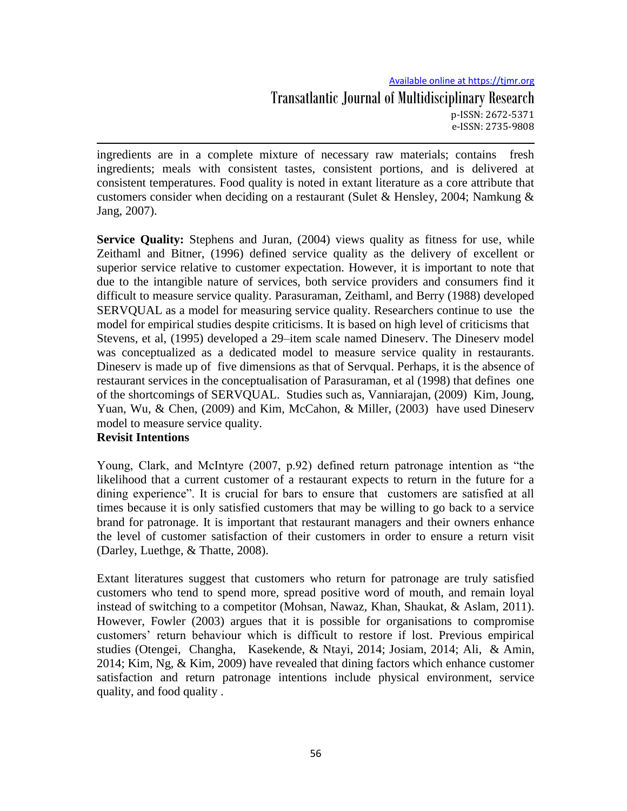# Available online at https://tjmr.org Transatlantic Journal of Multidisciplinary Research p-ISSN: 2672-5371 e-ISSN: 2735-9808

ingredients are in a complete mixture of necessary raw materials; contains fresh ingredients; meals with consistent tastes, consistent portions, and is delivered at consistent temperatures. Food quality is noted in extant literature as a core attribute that customers consider when deciding on a restaurant (Sulet & Hensley, 2004; Namkung & Jang, 2007).

**Service Quality:** Stephens and Juran, (2004) views quality as fitness for use, while Zeithaml and Bitner, (1996) defined service quality as the delivery of excellent or superior service relative to customer expectation. However, it is important to note that due to the intangible nature of services, both service providers and consumers find it difficult to measure service quality. Parasuraman, Zeithaml, and Berry (1988) developed SERVQUAL as a model for measuring service quality. Researchers continue to use the model for empirical studies despite criticisms. It is based on high level of criticisms that Stevens, et al, (1995) developed a 29–item scale named Dineserv. The Dineserv model was conceptualized as a dedicated model to measure service quality in restaurants. Dineserv is made up of five dimensions as that of Servqual. Perhaps, it is the absence of restaurant services in the conceptualisation of Parasuraman, et al (1998) that defines one of the shortcomings of SERVQUAL. Studies such as, Vanniarajan, (2009) Kim, Joung, Yuan, Wu, & Chen, (2009) and Kim, McCahon, & Miller, (2003) have used Dineserv model to measure service quality.

# **Revisit Intentions**

Young, Clark, and McIntyre (2007, p.92) defined return patronage intention as "the likelihood that a current customer of a restaurant expects to return in the future for a dining experience". It is crucial for bars to ensure that customers are satisfied at all times because it is only satisfied customers that may be willing to go back to a service brand for patronage. It is important that restaurant managers and their owners enhance the level of customer satisfaction of their customers in order to ensure a return visit (Darley, Luethge, & Thatte, 2008).

Extant literatures suggest that customers who return for patronage are truly satisfied customers who tend to spend more, spread positive word of mouth, and remain loyal instead of switching to a competitor (Mohsan, Nawaz, Khan, Shaukat, & Aslam, 2011). However, Fowler (2003) argues that it is possible for organisations to compromise customers' return behaviour which is difficult to restore if lost. Previous empirical studies (Otengei, Changha, Kasekende, & Ntayi, 2014; Josiam, 2014; Ali, & Amin, 2014; Kim, Ng, & Kim, 2009) have revealed that dining factors which enhance customer satisfaction and return patronage intentions include physical environment, service quality, and food quality .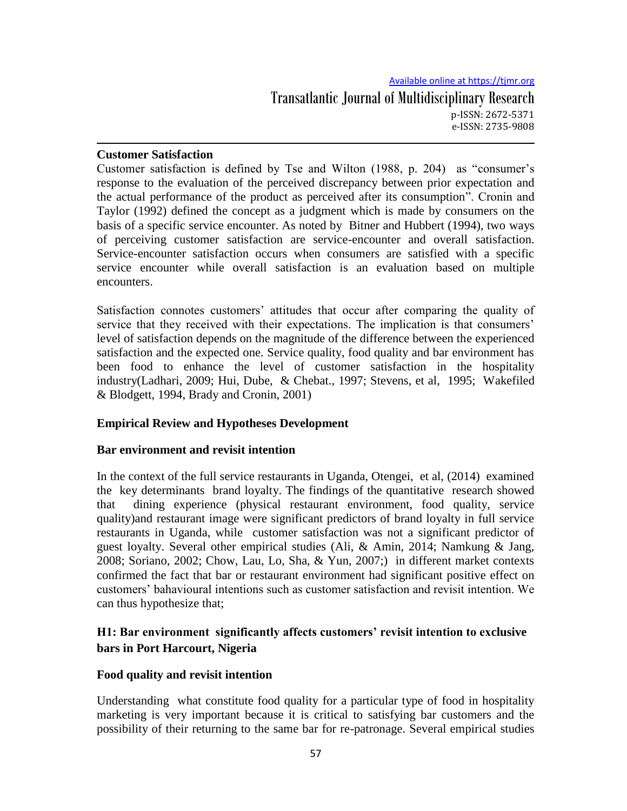## **Customer Satisfaction**

Customer satisfaction is defined by Tse and Wilton (1988, p. 204) as "consumer's response to the evaluation of the perceived discrepancy between prior expectation and the actual performance of the product as perceived after its consumption". Cronin and Taylor (1992) defined the concept as a judgment which is made by consumers on the basis of a specific service encounter. As noted by Bitner and Hubbert (1994), two ways of perceiving customer satisfaction are service-encounter and overall satisfaction. Service-encounter satisfaction occurs when consumers are satisfied with a specific service encounter while overall satisfaction is an evaluation based on multiple encounters.

Satisfaction connotes customers' attitudes that occur after comparing the quality of service that they received with their expectations. The implication is that consumers' level of satisfaction depends on the magnitude of the difference between the experienced satisfaction and the expected one. Service quality, food quality and bar environment has been food to enhance the level of customer satisfaction in the hospitality industry(Ladhari, 2009; Hui, Dube, & Chebat., 1997; Stevens, et al, 1995; Wakefiled & Blodgett, 1994, Brady and Cronin, 2001)

## **Empirical Review and Hypotheses Development**

#### **Bar environment and revisit intention**

In the context of the full service restaurants in Uganda, Otengei, et al, (2014) examined the key determinants brand loyalty. The findings of the quantitative research showed that dining experience (physical restaurant environment, food quality, service quality)and restaurant image were significant predictors of brand loyalty in full service restaurants in Uganda, while customer satisfaction was not a significant predictor of guest loyalty. Several other empirical studies (Ali, & Amin, 2014; Namkung & Jang, 2008; Soriano, 2002; Chow, Lau, Lo, Sha, & Yun, 2007;) in different market contexts confirmed the fact that bar or restaurant environment had significant positive effect on customers' bahavioural intentions such as customer satisfaction and revisit intention. We can thus hypothesize that;

# **H1: Bar environment significantly affects customers' revisit intention to exclusive bars in Port Harcourt, Nigeria**

## **Food quality and revisit intention**

Understanding what constitute food quality for a particular type of food in hospitality marketing is very important because it is critical to satisfying bar customers and the possibility of their returning to the same bar for re-patronage. Several empirical studies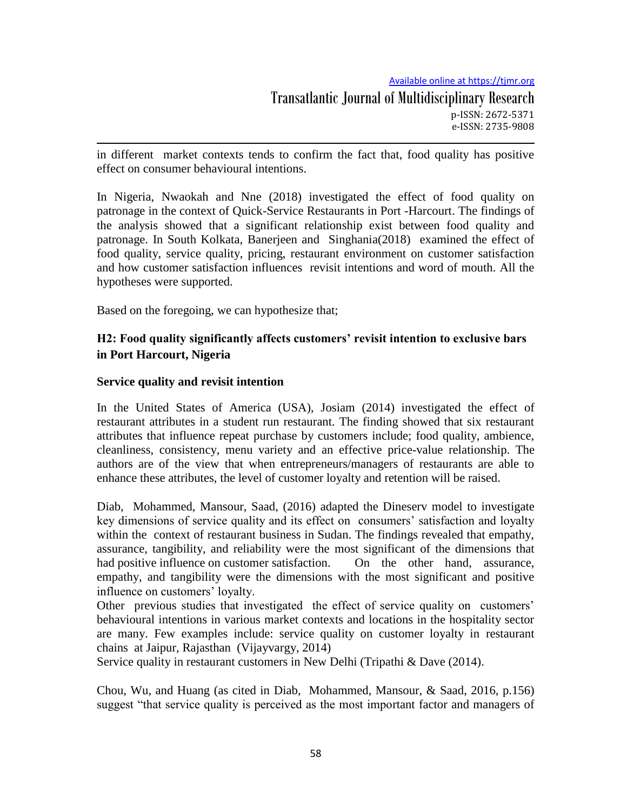in different market contexts tends to confirm the fact that, food quality has positive effect on consumer behavioural intentions.

In Nigeria, Nwaokah and Nne (2018) investigated the effect of food quality on patronage in the context of Quick-Service Restaurants in Port -Harcourt. The findings of the analysis showed that a significant relationship exist between food quality and patronage. In South Kolkata, Banerjeen and Singhania(2018) examined the effect of food quality, service quality, pricing, restaurant environment on customer satisfaction and how customer satisfaction influences revisit intentions and word of mouth. All the hypotheses were supported.

Based on the foregoing, we can hypothesize that;

# **H2: Food quality significantly affects customers' revisit intention to exclusive bars in Port Harcourt, Nigeria**

## **Service quality and revisit intention**

In the United States of America (USA), Josiam (2014) investigated the effect of restaurant attributes in a student run restaurant. The finding showed that six restaurant attributes that influence repeat purchase by customers include; food quality, ambience, cleanliness, consistency, menu variety and an effective price-value relationship. The authors are of the view that when entrepreneurs/managers of restaurants are able to enhance these attributes, the level of customer loyalty and retention will be raised.

Diab, Mohammed, Mansour, Saad, (2016) adapted the Dineserv model to investigate key dimensions of service quality and its effect on consumers' satisfaction and loyalty within the context of restaurant business in Sudan. The findings revealed that empathy, assurance, tangibility, and reliability were the most significant of the dimensions that had positive influence on customer satisfaction. On the other hand, assurance, empathy, and tangibility were the dimensions with the most significant and positive influence on customers' loyalty.

Other previous studies that investigated the effect of service quality on customers' behavioural intentions in various market contexts and locations in the hospitality sector are many. Few examples include: service quality on customer loyalty in restaurant chains at Jaipur, Rajasthan (Vijayvargy, 2014)

Service quality in restaurant customers in New Delhi (Tripathi & Dave (2014).

Chou, Wu, and Huang (as cited in Diab, Mohammed, Mansour, & Saad, 2016, p.156) suggest "that service quality is perceived as the most important factor and managers of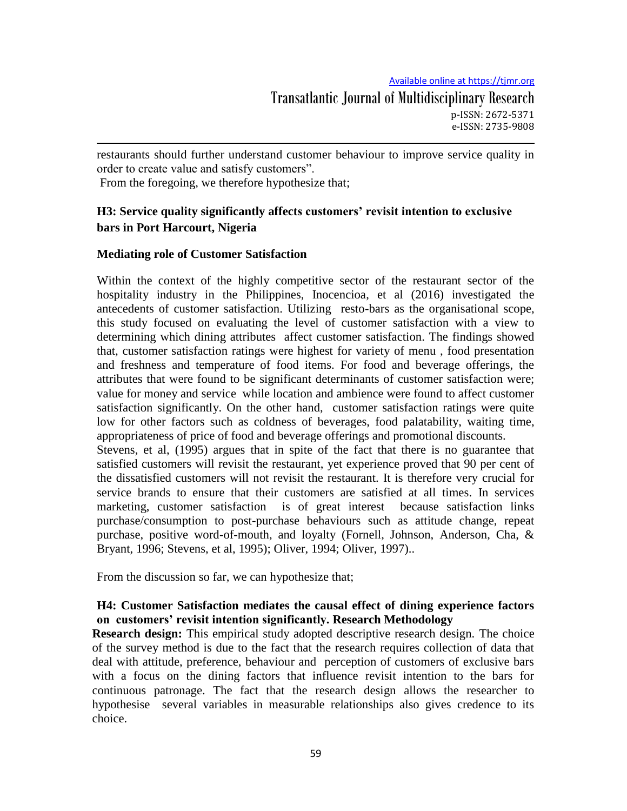restaurants should further understand customer behaviour to improve service quality in order to create value and satisfy customers".

From the foregoing, we therefore hypothesize that;

# **H3: Service quality significantly affects customers' revisit intention to exclusive bars in Port Harcourt, Nigeria**

# **Mediating role of Customer Satisfaction**

Within the context of the highly competitive sector of the restaurant sector of the hospitality industry in the Philippines, Inocencioa, et al (2016) investigated the antecedents of customer satisfaction. Utilizing resto-bars as the organisational scope, this study focused on evaluating the level of customer satisfaction with a view to determining which dining attributes affect customer satisfaction. The findings showed that, customer satisfaction ratings were highest for variety of menu , food presentation and freshness and temperature of food items. For food and beverage offerings, the attributes that were found to be significant determinants of customer satisfaction were; value for money and service while location and ambience were found to affect customer satisfaction significantly. On the other hand, customer satisfaction ratings were quite low for other factors such as coldness of beverages, food palatability, waiting time, appropriateness of price of food and beverage offerings and promotional discounts.

Stevens, et al, (1995) argues that in spite of the fact that there is no guarantee that satisfied customers will revisit the restaurant, yet experience proved that 90 per cent of the dissatisfied customers will not revisit the restaurant. It is therefore very crucial for service brands to ensure that their customers are satisfied at all times. In services marketing, customer satisfaction is of great interest because satisfaction links purchase/consumption to post-purchase behaviours such as attitude change, repeat purchase, positive word-of-mouth, and loyalty (Fornell, Johnson, Anderson, Cha, & Bryant, 1996; Stevens, et al, 1995); Oliver, 1994; Oliver, 1997)..

From the discussion so far, we can hypothesize that;

# **H4: Customer Satisfaction mediates the causal effect of dining experience factors on customers' revisit intention significantly. Research Methodology**

**Research design:** This empirical study adopted descriptive research design. The choice of the survey method is due to the fact that the research requires collection of data that deal with attitude, preference, behaviour and perception of customers of exclusive bars with a focus on the dining factors that influence revisit intention to the bars for continuous patronage. The fact that the research design allows the researcher to hypothesise several variables in measurable relationships also gives credence to its choice.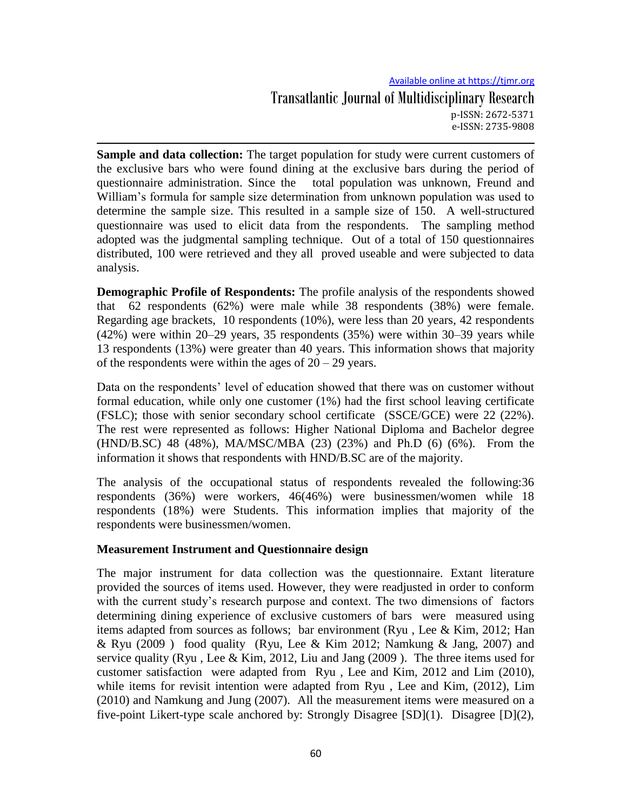# Available online at https://tjmr.org Transatlantic Journal of Multidisciplinary Research p-ISSN: 2672-5371 e-ISSN: 2735-9808

**Sample and data collection:** The target population for study were current customers of the exclusive bars who were found dining at the exclusive bars during the period of questionnaire administration. Since the total population was unknown, Freund and William's formula for sample size determination from unknown population was used to determine the sample size. This resulted in a sample size of 150. A well-structured questionnaire was used to elicit data from the respondents. The sampling method adopted was the judgmental sampling technique. Out of a total of 150 questionnaires distributed, 100 were retrieved and they all proved useable and were subjected to data analysis.

**Demographic Profile of Respondents:** The profile analysis of the respondents showed that 62 respondents (62%) were male while 38 respondents (38%) were female. Regarding age brackets, 10 respondents (10%), were less than 20 years, 42 respondents (42%) were within 20–29 years, 35 respondents (35%) were within 30–39 years while 13 respondents (13%) were greater than 40 years. This information shows that majority of the respondents were within the ages of  $20 - 29$  years.

Data on the respondents' level of education showed that there was on customer without formal education, while only one customer (1%) had the first school leaving certificate (FSLC); those with senior secondary school certificate (SSCE/GCE) were 22 (22%). The rest were represented as follows: Higher National Diploma and Bachelor degree (HND/B.SC) 48 (48%), MA/MSC/MBA (23) (23%) and Ph.D (6) (6%). From the information it shows that respondents with HND/B.SC are of the majority.

The analysis of the occupational status of respondents revealed the following:36 respondents (36%) were workers, 46(46%) were businessmen/women while 18 respondents (18%) were Students. This information implies that majority of the respondents were businessmen/women.

## **Measurement Instrument and Questionnaire design**

The major instrument for data collection was the questionnaire. Extant literature provided the sources of items used. However, they were readjusted in order to conform with the current study's research purpose and context. The two dimensions of factors determining dining experience of exclusive customers of bars were measured using items adapted from sources as follows; bar environment (Ryu , Lee & Kim, 2012; Han & Ryu (2009) food quality (Ryu, Lee & Kim 2012; Namkung & Jang, 2007) and service quality (Ryu , Lee & Kim, 2012, Liu and Jang (2009 ). The three items used for customer satisfaction were adapted from Ryu , Lee and Kim, 2012 and Lim (2010), while items for revisit intention were adapted from Ryu , Lee and Kim, (2012), Lim (2010) and Namkung and Jung (2007). All the measurement items were measured on a five-point Likert-type scale anchored by: Strongly Disagree [SD](1). Disagree [D](2),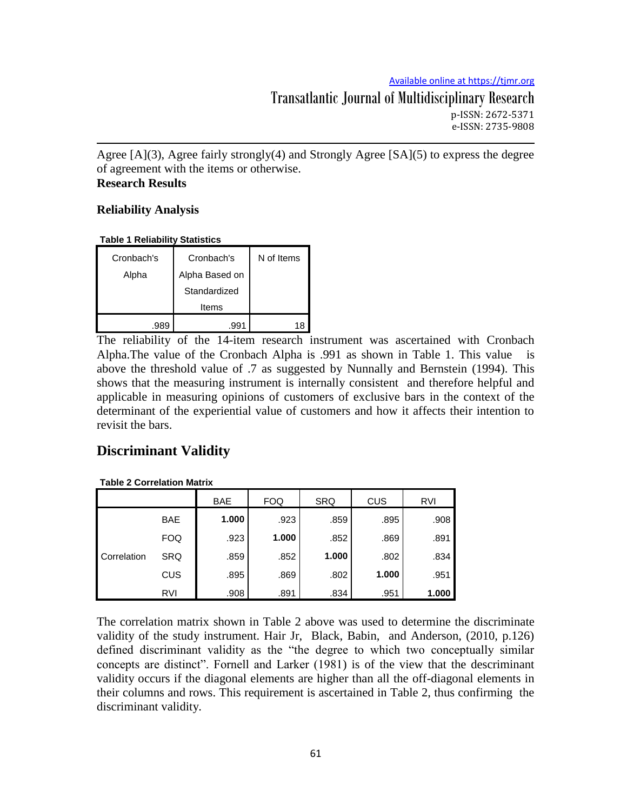Transatlantic Journal of Multidisciplinary Research p-ISSN: 2672-5371 e-ISSN: 2735-9808

Agree [A](3), Agree fairly strongly(4) and Strongly Agree [SA](5) to express the degree of agreement with the items or otherwise. **Research Results**

# **Reliability Analysis**

**Table 1 Reliability Statistics**

| Cronbach's | Cronbach's     | N of Items |
|------------|----------------|------------|
| Alpha      | Alpha Based on |            |
|            | Standardized   |            |
|            | Items          |            |
| .989       | .991           | 18         |

The reliability of the 14-item research instrument was ascertained with Cronbach Alpha.The value of the Cronbach Alpha is .991 as shown in Table 1. This value is above the threshold value of .7 as suggested by Nunnally and Bernstein (1994). This shows that the measuring instrument is internally consistent and therefore helpful and applicable in measuring opinions of customers of exclusive bars in the context of the determinant of the experiential value of customers and how it affects their intention to revisit the bars.

# **Discriminant Validity**

#### **Table 2 Correlation Matrix**

|             |            | <b>BAE</b> | <b>FOQ</b> | <b>SRQ</b> | CUS   | <b>RVI</b> |
|-------------|------------|------------|------------|------------|-------|------------|
|             | <b>BAE</b> | 1.000      | .923       | .859       | .895  | .908       |
|             | <b>FOQ</b> | .923       | 1.000      | .852       | .869  | .891       |
| Correlation | <b>SRQ</b> | .859       | .852       | 1.000      | .802  | .834       |
|             | CUS        | .895       | .869       | .802       | 1.000 | .951       |
|             | RVI        | .908       | .891       | .834       | .951  | 1.000      |

The correlation matrix shown in Table 2 above was used to determine the discriminate validity of the study instrument. Hair Jr, Black, Babin, and Anderson, (2010, p.126) defined discriminant validity as the "the degree to which two conceptually similar concepts are distinct". Fornell and Larker (1981) is of the view that the descriminant validity occurs if the diagonal elements are higher than all the off-diagonal elements in their columns and rows. This requirement is ascertained in Table 2, thus confirming the discriminant validity.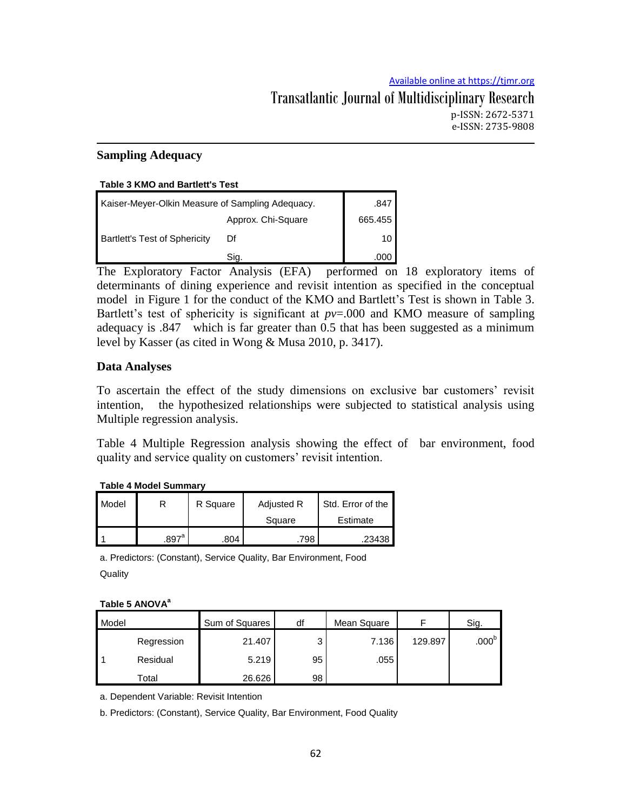# **Sampling Adequacy**

#### **Table 3 KMO and Bartlett's Test**

| Kaiser-Meyer-Olkin Measure of Sampling Adequacy. | .847               |                 |
|--------------------------------------------------|--------------------|-----------------|
|                                                  | Approx. Chi-Square | 665.455         |
| <b>Bartlett's Test of Sphericity</b>             |                    | 10 <sub>l</sub> |
|                                                  | Sia.               | .000            |

The Exploratory Factor Analysis (EFA) performed on 18 exploratory items of determinants of dining experience and revisit intention as specified in the conceptual model in Figure 1 for the conduct of the KMO and Bartlett's Test is shown in Table 3. Bartlett's test of sphericity is significant at *pv*=.000 and KMO measure of sampling adequacy is .847 which is far greater than 0.5 that has been suggested as a minimum level by Kasser (as cited in Wong & Musa 2010, p. 3417).

# **Data Analyses**

To ascertain the effect of the study dimensions on exclusive bar customers' revisit intention, the hypothesized relationships were subjected to statistical analysis using Multiple regression analysis.

Table 4 Multiple Regression analysis showing the effect of bar environment, food quality and service quality on customers' revisit intention.

|  | <b>Table 4 Model Summary</b> |  |
|--|------------------------------|--|
|  |                              |  |

| Model |                     | R Square | Adjusted R | Std. Error of the |
|-------|---------------------|----------|------------|-------------------|
|       |                     |          | Square     | Estimate          |
|       | $.897$ <sup>a</sup> | .804     | 798        | ا 23438.          |

a. Predictors: (Constant), Service Quality, Bar Environment, Food **Quality** 

#### **Table 5 ANOVA<sup>a</sup>**

| Model |            | Sum of Squares | df | Mean Square |         | Sig.              |
|-------|------------|----------------|----|-------------|---------|-------------------|
|       | Regression | 21.407         | っ  | 7.136       | 129.897 | .000 <sup>b</sup> |
|       | Residual   | 5.219          | 95 | .055        |         |                   |
|       | Total      | 26.626         | 98 |             |         |                   |

a. Dependent Variable: Revisit Intention

b. Predictors: (Constant), Service Quality, Bar Environment, Food Quality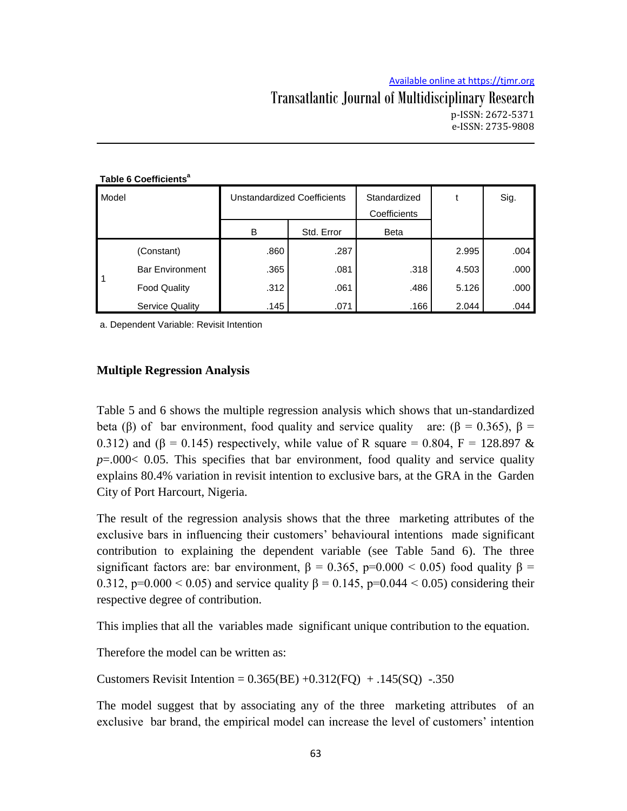## Transatlantic Journal of Multidisciplinary Research p-ISSN: 2672-5371 e-ISSN: 2735-9808

|       | Table 6 Coefficients <sup>a</sup> |                                    |            |              |       |      |
|-------|-----------------------------------|------------------------------------|------------|--------------|-------|------|
| Model |                                   | <b>Unstandardized Coefficients</b> |            | Standardized |       | Sig. |
|       |                                   |                                    |            | Coefficients |       |      |
|       |                                   | в                                  | Std. Error | <b>Beta</b>  |       |      |
|       | (Constant)                        | .860                               | .287       |              | 2.995 | .004 |
| 1     | <b>Bar Environment</b>            | .365                               | .081       | .318         | 4.503 | .000 |
|       | <b>Food Quality</b>               | .312                               | .061       | .486         | 5.126 | .000 |
|       | <b>Service Quality</b>            | .145                               | .071       | .166         | 2.044 | .044 |

a. Dependent Variable: Revisit Intention

#### **Multiple Regression Analysis**

Table 5 and 6 shows the multiple regression analysis which shows that un-standardized beta (β) of bar environment, food quality and service quality are: (β = 0.365), β = 0.312) and ( $\beta$  = 0.145) respectively, while value of R square = 0.804, F = 128.897 & *p*=.000< 0.05. This specifies that bar environment, food quality and service quality explains 80.4% variation in revisit intention to exclusive bars, at the GRA in the Garden City of Port Harcourt, Nigeria.

The result of the regression analysis shows that the three marketing attributes of the exclusive bars in influencing their customers' behavioural intentions made significant contribution to explaining the dependent variable (see Table 5and 6). The three significant factors are: bar environment,  $\beta = 0.365$ , p=0.000 < 0.05) food quality  $\beta$  = 0.312, p=0.000 < 0.05) and service quality β = 0.145, p=0.044 < 0.05) considering their respective degree of contribution.

This implies that all the variables made significant unique contribution to the equation.

Therefore the model can be written as:

Customers Revisit Intention =  $0.365(BE) +0.312(FQ) +0.145(SQ) -0.350$ 

The model suggest that by associating any of the three marketing attributes of an exclusive bar brand, the empirical model can increase the level of customers' intention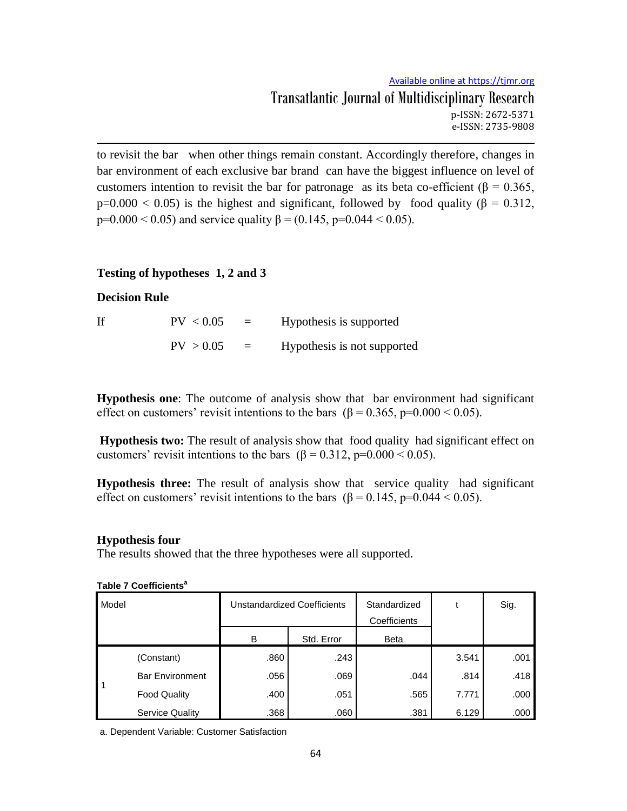Available online at https://tjmr.org Transatlantic Journal of Multidisciplinary Research p-ISSN: 2672-5371 e-ISSN: 2735-9808

to revisit the bar when other things remain constant. Accordingly therefore, changes in bar environment of each exclusive bar brand can have the biggest influence on level of customers intention to revisit the bar for patronage as its beta co-efficient ( $\beta = 0.365$ ,  $p=0.000 < 0.05$ ) is the highest and significant, followed by food quality ( $\beta = 0.312$ , p=0.000 < 0.05) and service quality  $\beta$  = (0.145, p=0.044 < 0.05).

#### **Testing of hypotheses 1, 2 and 3**

#### **Decision Rule**

If  $PV < 0.05 = Hypothesis$  is supported  $PV > 0.05$  = Hypothesis is not supported

**Hypothesis one**: The outcome of analysis show that bar environment had significant effect on customers' revisit intentions to the bars ( $\beta = 0.365$ , p=0.000 < 0.05).

**Hypothesis two:** The result of analysis show that food quality had significant effect on customers' revisit intentions to the bars ( $\beta = 0.312$ , p=0.000 < 0.05).

**Hypothesis three:** The result of analysis show that service quality had significant effect on customers' revisit intentions to the bars ( $\beta = 0.145$ , p=0.044 < 0.05).

#### **Hypothesis four**

The results showed that the three hypotheses were all supported.

| Model |                        | Unstandardized Coefficients |            | Standardized<br>Coefficients |       | Sig. |
|-------|------------------------|-----------------------------|------------|------------------------------|-------|------|
|       |                        | в                           | Std. Error | <b>Beta</b>                  |       |      |
|       | (Constant)             | .860                        | .243       |                              | 3.541 | .001 |
| -1    | <b>Bar Environment</b> | .056                        | .069       | .044                         | .814  | .418 |
|       | <b>Food Quality</b>    | .400                        | .051       | .565                         | 7.771 | .000 |
|       | <b>Service Quality</b> | .368                        | .060       | .381                         | 6.129 | .000 |

**Table 7 Coefficients<sup>a</sup>**

a. Dependent Variable: Customer Satisfaction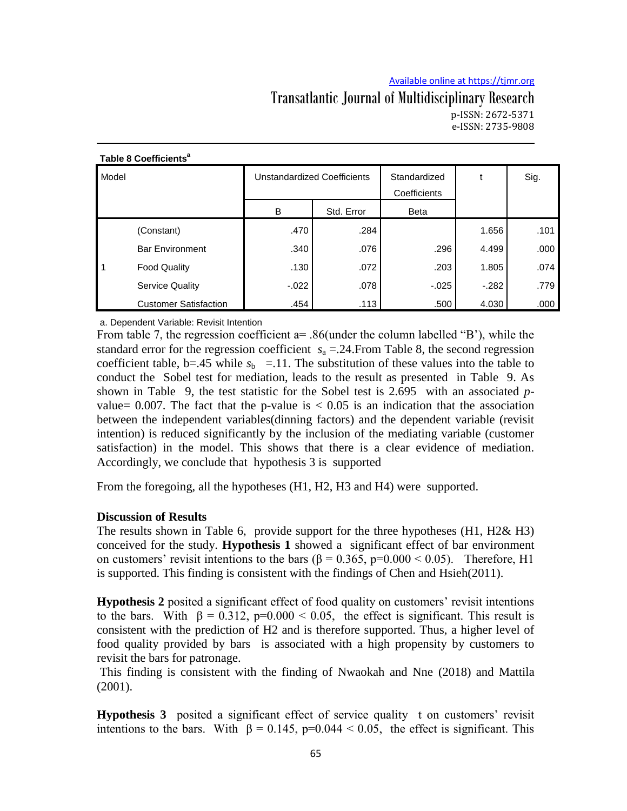## Transatlantic Journal of Multidisciplinary Research p-ISSN: 2672-5371 e-ISSN: 2735-9808

| Model |                              | <b>Unstandardized Coefficients</b> |            | Standardized<br>Coefficients |        | Sig. |
|-------|------------------------------|------------------------------------|------------|------------------------------|--------|------|
|       |                              | B                                  | Std. Error | <b>Beta</b>                  |        |      |
|       | (Constant)                   | .470                               | .284       |                              | 1.656  | .101 |
|       | <b>Bar Environment</b>       | .340                               | .076       | .296                         | 4.499  | .000 |
|       | <b>Food Quality</b>          | .130                               | .072       | .203                         | 1.805  | .074 |
|       | <b>Service Quality</b>       | $-0.022$                           | .078       | $-0.025$                     | $-282$ | .779 |
|       | <b>Customer Satisfaction</b> | .454                               | .113       | .500                         | 4.030  | .000 |

#### **Table 8 Coefficients<sup>a</sup>**

a. Dependent Variable: Revisit Intention

From table 7, the regression coefficient a= .86(under the column labelled "B"), while the standard error for the regression coefficient  $s_a = 0.24$ . From Table 8, the second regression coefficient table, b=.45 while  $s<sub>b</sub> = 11$ . The substitution of these values into the table to conduct the Sobel test for mediation, leads to the result as presented in Table 9. As shown in Table 9, the test statistic for the Sobel test is 2.695 with an associated *p*value= 0.007. The fact that the p-value is  $< 0.05$  is an indication that the association between the independent variables(dinning factors) and the dependent variable (revisit intention) is reduced significantly by the inclusion of the mediating variable (customer satisfaction) in the model. This shows that there is a clear evidence of mediation. Accordingly, we conclude that hypothesis 3 is supported

From the foregoing, all the hypotheses (H1, H2, H3 and H4) were supported.

#### **Discussion of Results**

The results shown in Table 6, provide support for the three hypotheses (H1, H2& H3) conceived for the study. **Hypothesis 1** showed a significant effect of bar environment on customers' revisit intentions to the bars ( $\beta = 0.365$ , p=0.000 < 0.05). Therefore, H1 is supported. This finding is consistent with the findings of Chen and Hsieh(2011).

**Hypothesis 2** posited a significant effect of food quality on customers' revisit intentions to the bars. With  $\beta = 0.312$ , p=0.000 < 0.05, the effect is significant. This result is consistent with the prediction of H2 and is therefore supported. Thus, a higher level of food quality provided by bars is associated with a high propensity by customers to revisit the bars for patronage.

This finding is consistent with the finding of Nwaokah and Nne (2018) and Mattila (2001).

**Hypothesis 3** posited a significant effect of service quality t on customers' revisit intentions to the bars. With  $\beta = 0.145$ , p=0.044 < 0.05, the effect is significant. This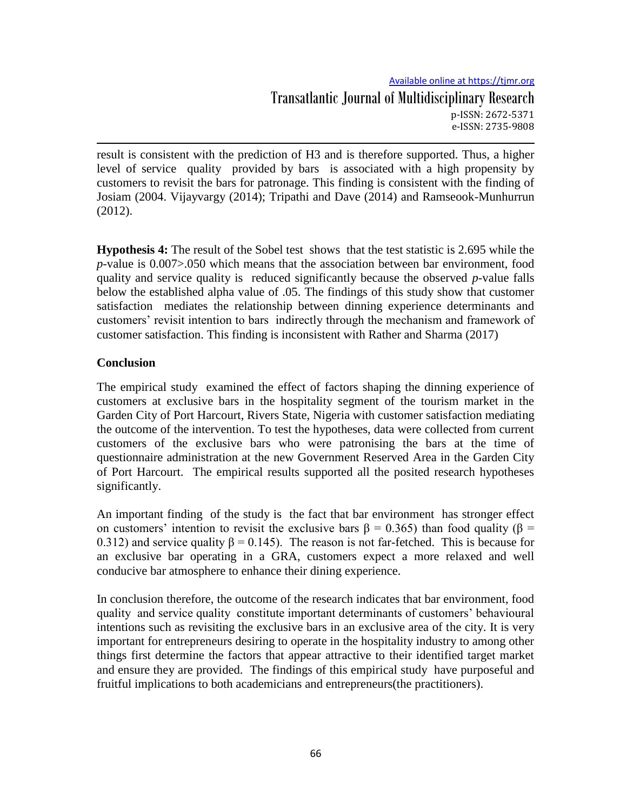result is consistent with the prediction of H3 and is therefore supported. Thus, a higher level of service quality provided by bars is associated with a high propensity by customers to revisit the bars for patronage. This finding is consistent with the finding of Josiam (2004. Vijayvargy (2014); Tripathi and Dave (2014) and Ramseook-Munhurrun (2012).

**Hypothesis 4:** The result of the Sobel test shows that the test statistic is 2.695 while the *p-*value is 0.007>.050 which means that the association between bar environment, food quality and service quality is reduced significantly because the observed *p*-value falls below the established alpha value of .05. The findings of this study show that customer satisfaction mediates the relationship between dinning experience determinants and customers' revisit intention to bars indirectly through the mechanism and framework of customer satisfaction. This finding is inconsistent with Rather and Sharma (2017)

## **Conclusion**

The empirical study examined the effect of factors shaping the dinning experience of customers at exclusive bars in the hospitality segment of the tourism market in the Garden City of Port Harcourt, Rivers State, Nigeria with customer satisfaction mediating the outcome of the intervention. To test the hypotheses, data were collected from current customers of the exclusive bars who were patronising the bars at the time of questionnaire administration at the new Government Reserved Area in the Garden City of Port Harcourt. The empirical results supported all the posited research hypotheses significantly.

An important finding of the study is the fact that bar environment has stronger effect on customers' intention to revisit the exclusive bars  $\beta = 0.365$ ) than food quality ( $\beta =$ 0.312) and service quality  $\beta = 0.145$ . The reason is not far-fetched. This is because for an exclusive bar operating in a GRA, customers expect a more relaxed and well conducive bar atmosphere to enhance their dining experience.

In conclusion therefore, the outcome of the research indicates that bar environment, food quality and service quality constitute important determinants of customers' behavioural intentions such as revisiting the exclusive bars in an exclusive area of the city. It is very important for entrepreneurs desiring to operate in the hospitality industry to among other things first determine the factors that appear attractive to their identified target market and ensure they are provided. The findings of this empirical study have purposeful and fruitful implications to both academicians and entrepreneurs(the practitioners).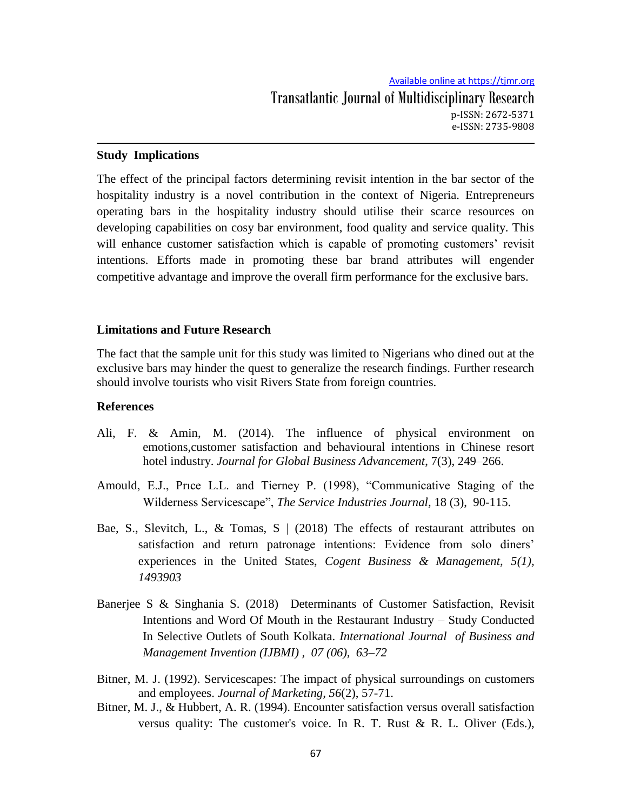#### **Study Implications**

The effect of the principal factors determining revisit intention in the bar sector of the hospitality industry is a novel contribution in the context of Nigeria. Entrepreneurs operating bars in the hospitality industry should utilise their scarce resources on developing capabilities on cosy bar environment, food quality and service quality. This will enhance customer satisfaction which is capable of promoting customers' revisit intentions. Efforts made in promoting these bar brand attributes will engender competitive advantage and improve the overall firm performance for the exclusive bars.

### **Limitations and Future Research**

The fact that the sample unit for this study was limited to Nigerians who dined out at the exclusive bars may hinder the quest to generalize the research findings. Further research should involve tourists who visit Rivers State from foreign countries.

#### **References**

- Ali, F. & Amin, M. (2014). The influence of physical environment on emotions,customer satisfaction and behavioural intentions in Chinese resort hotel industry. *Journal for Global Business Advancement*, 7(3), 249–266.
- Amould, E.J., Prıce L.L. and Tierney P. (1998), "Communicative Staging of the Wilderness Servicescape", *The Service Industries Journal,* 18 (3), 90-115.
- Bae, S., Slevitch, L., & Tomas, S  $\mid$  (2018) The effects of restaurant attributes on satisfaction and return patronage intentions: Evidence from solo diners' experiences in the United States, *Cogent Business & Management, 5(1), 1493903*
- Banerjee S & Singhania S. (2018) Determinants of Customer Satisfaction, Revisit Intentions and Word Of Mouth in the Restaurant Industry – Study Conducted In Selective Outlets of South Kolkata. *International Journal of Business and Management Invention (IJBMI) , 07 (06), 63–72*
- Bitner, M. J. (1992). Servicescapes: The impact of physical surroundings on customers and employees. *Journal of Marketing, 56*(2), 57-71.
- Bitner, M. J., & Hubbert, A. R. (1994). Encounter satisfaction versus overall satisfaction versus quality: The customer's voice. In R. T. Rust & R. L. Oliver (Eds.),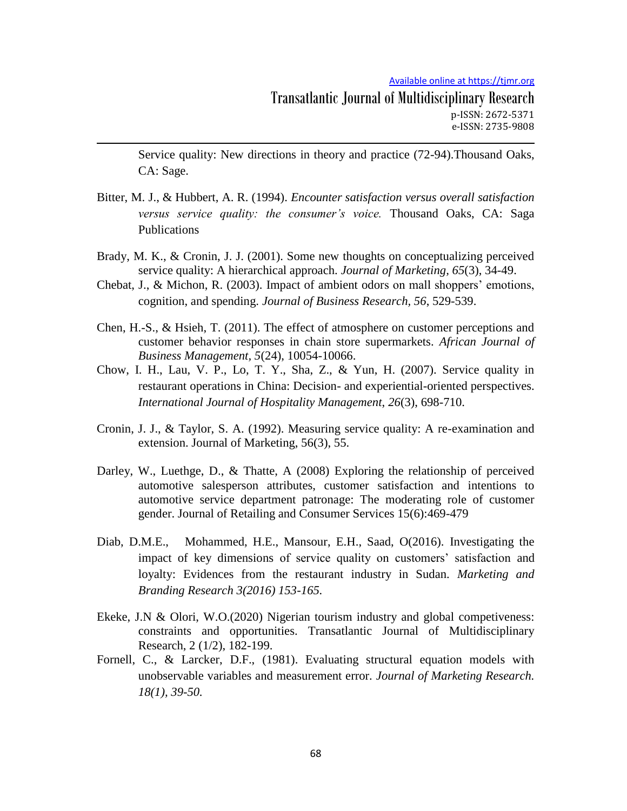Service quality: New directions in theory and practice (72-94).Thousand Oaks, CA: Sage.

- Bitter, M. J., & Hubbert, A. R. (1994). *Encounter satisfaction versus overall satisfaction versus service quality: the consumer's voice.* Thousand Oaks, CA: Saga Publications
- Brady, M. K., & Cronin, J. J. (2001). Some new thoughts on conceptualizing perceived service quality: A hierarchical approach. *Journal of Marketing, 65*(3), 34-49.
- Chebat, J., & Michon, R. (2003). Impact of ambient odors on mall shoppers' emotions, cognition, and spending. *Journal of Business Research, 56*, 529-539.
- Chen, H.-S., & Hsieh, T. (2011). The effect of atmosphere on customer perceptions and customer behavior responses in chain store supermarkets. *African Journal of Business Management, 5*(24), 10054-10066.
- Chow, I. H., Lau, V. P., Lo, T. Y., Sha, Z., & Yun, H. (2007). Service quality in restaurant operations in China: Decision- and experiential-oriented perspectives. *International Journal of Hospitality Management*, *26*(3), 698-710.
- Cronin, J. J., & Taylor, S. A. (1992). Measuring service quality: A re-examination and extension. Journal of Marketing, 56(3), 55.
- Darley, W., Luethge, D., & Thatte, A (2008) Exploring the relationship of perceived automotive salesperson attributes, customer satisfaction and intentions to automotive service department patronage: The moderating role of customer gender. Journal of Retailing and Consumer Services 15(6):469-479
- Diab, D.M.E., Mohammed, H.E., Mansour, E.H., Saad, O(2016). Investigating the impact of key dimensions of service quality on customers' satisfaction and loyalty: Evidences from the restaurant industry in Sudan. *Marketing and Branding Research 3(2016) 153-165.*
- Ekeke, J.N & Olori, W.O.(2020) Nigerian tourism industry and global competiveness: constraints and opportunities. Transatlantic Journal of Multidisciplinary Research, 2 (1/2), 182-199.
- Fornell, C., & Larcker, D.F., (1981). Evaluating structural equation models with unobservable variables and measurement error. *Journal of Marketing Research. 18(1), 39-50.*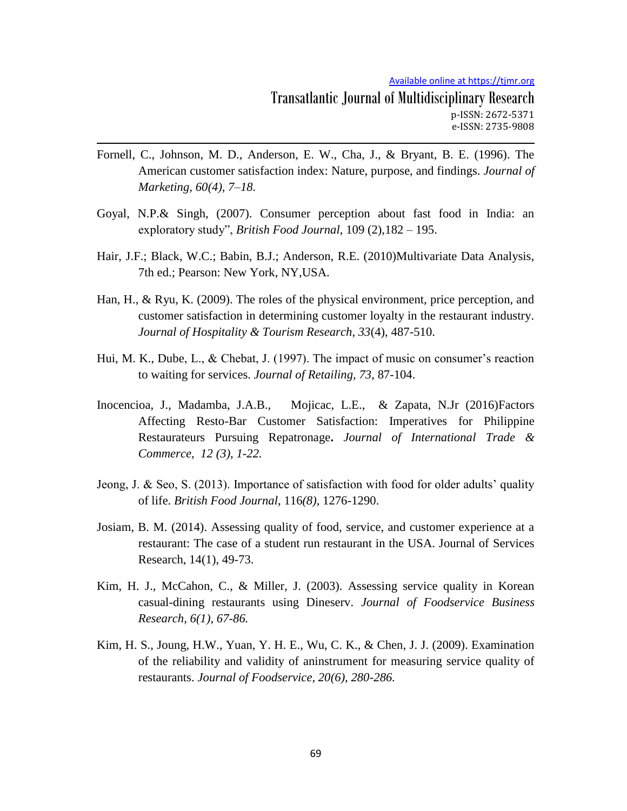- Fornell, C., Johnson, M. D., Anderson, E. W., Cha, J., & Bryant, B. E. (1996). The American customer satisfaction index: Nature, purpose, and findings. *Journal of Marketing, 60(4), 7–18.*
- Goyal, N.P.& Singh, (2007). Consumer perception about fast food in India: an exploratory study", *British Food Journal*, 109 (2),182 – 195.
- Hair, J.F.; Black, W.C.; Babin, B.J.; Anderson, R.E. (2010)Multivariate Data Analysis, 7th ed.; Pearson: New York, NY,USA.
- Han, H., & Ryu, K. (2009). The roles of the physical environment, price perception, and customer satisfaction in determining customer loyalty in the restaurant industry. *Journal of Hospitality & Tourism Research, 33*(4), 487-510.
- Hui, M. K., Dube, L., & Chebat, J. (1997). The impact of music on consumer's reaction to waiting for services. *Journal of Retailing, 73*, 87-104.
- Inocencioa, J., Madamba, J.A.B., Mojicac, L.E., & Zapata, N.Jr (2016)Factors Affecting Resto-Bar Customer Satisfaction: Imperatives for Philippine Restaurateurs Pursuing Repatronage**.** *Journal of International Trade & Commerce, 12 (3), 1-22.*
- Jeong, J. & Seo, S. (2013). Importance of satisfaction with food for older adults' quality of life. *British Food Journal*, 116*(8),* 1276-1290.
- Josiam, B. M. (2014). Assessing quality of food, service, and customer experience at a restaurant: The case of a student run restaurant in the USA. Journal of Services Research, 14(1), 49-73.
- Kim, H. J., McCahon, C., & Miller, J. (2003). Assessing service quality in Korean casual-dining restaurants using Dineserv. *Journal of Foodservice Business Research, 6(1), 67-86.*
- Kim, H. S., Joung, H.W., Yuan, Y. H. E., Wu, C. K., & Chen, J. J. (2009). Examination of the reliability and validity of aninstrument for measuring service quality of restaurants. *Journal of Foodservice, 20(6), 280-286.*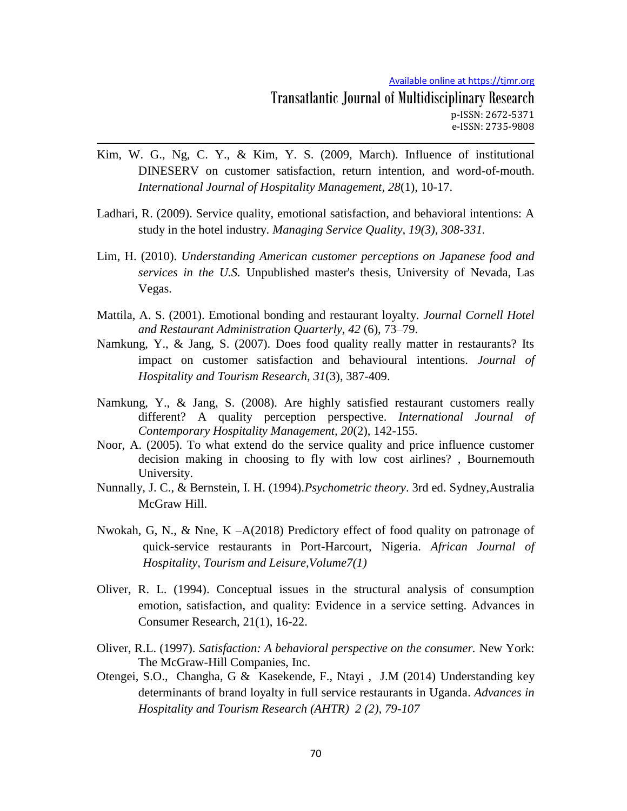- Kim, W. G., Ng, C. Y., & Kim, Y. S. (2009, March). Influence of institutional DINESERV on customer satisfaction, return intention, and word-of-mouth. *International Journal of Hospitality Management, 28*(1), 10-17.
- Ladhari, R. (2009). Service quality, emotional satisfaction, and behavioral intentions: A study in the hotel industry. *Managing Service Quality, 19(3), 308-331.*
- Lim, H. (2010). *Understanding American customer perceptions on Japanese food and services in the U.S.* Unpublished master's thesis, University of Nevada, Las Vegas.
- Mattila, A. S. (2001). Emotional bonding and restaurant loyalty. *Journal Cornell Hotel and Restaurant Administration Quarterly, 42* (6), 73–79.
- Namkung, Y., & Jang, S. (2007). Does food quality really matter in restaurants? Its impact on customer satisfaction and behavioural intentions. *Journal of Hospitality and Tourism Research, 31*(3), 387-409.
- Namkung, Y., & Jang, S. (2008). Are highly satisfied restaurant customers really different? A quality perception perspective. *International Journal of Contemporary Hospitality Management, 20*(2), 142-155.
- Noor, A. (2005). To what extend do the service quality and price influence customer decision making in choosing to fly with low cost airlines? , Bournemouth University.
- Nunnally, J. C., & Bernstein, I. H. (1994).*Psychometric theory*. 3rd ed. Sydney,Australia McGraw Hill.
- Nwokah, G, N., & Nne, K –A(2018) Predictory effect of food quality on patronage of quick-service restaurants in Port-Harcourt, Nigeria. *African Journal of Hospitality, Tourism and Leisure,Volume7(1)*
- Oliver, R. L. (1994). Conceptual issues in the structural analysis of consumption emotion, satisfaction, and quality: Evidence in a service setting. Advances in Consumer Research, 21(1), 16-22.
- Oliver, R.L. (1997). *Satisfaction: A behavioral perspective on the consumer.* New York: The McGraw-Hill Companies, Inc.
- Otengei, S.O., Changha, G & Kasekende, F., Ntayi , J.M (2014) Understanding key determinants of brand loyalty in full service restaurants in Uganda. *Advances in Hospitality and Tourism Research (AHTR) 2 (2), 79-107*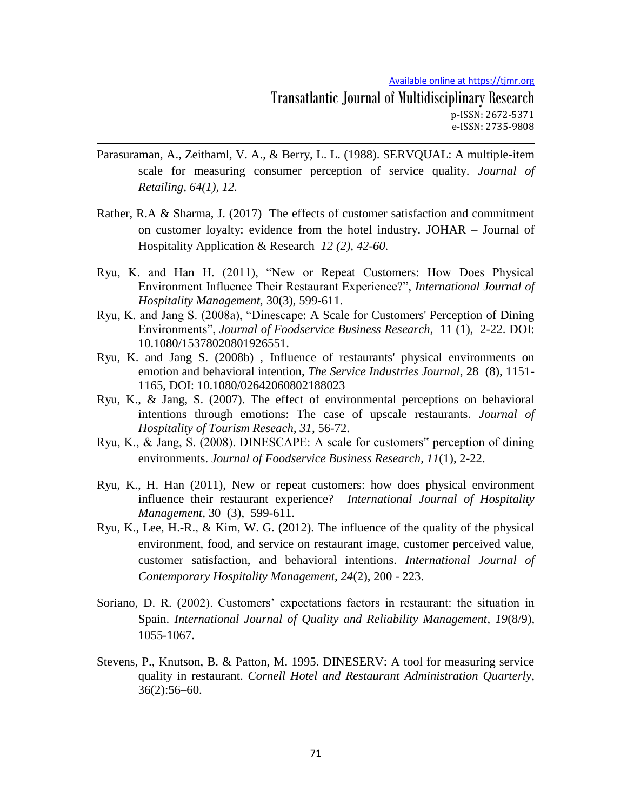- Parasuraman, A., Zeithaml, V. A., & Berry, L. L. (1988). SERVQUAL: A multiple-item scale for measuring consumer perception of service quality. *Journal of Retailing, 64(1), 12.*
- Rather, R.A & Sharma, J. (2017) The effects of customer satisfaction and commitment on customer loyalty: evidence from the hotel industry. JOHAR – Journal of Hospitality Application & Research *12 (2), 42-60.*
- Ryu, K. and Han H. (2011), "New or Repeat Customers: How Does Physical Environment Influence Their Restaurant Experience?", *International Journal of Hospitality Management*, 30(3), 599-611.
- Ryu, K. and Jang S. (2008a), "Dinescape: A Scale for Customers' Perception of Dining Environments", *Journal of Foodservice Business Research*, 11 (1), 2-22. DOI: 10.1080/15378020801926551.
- Ryu, K. and Jang S. (2008b) , Influence of restaurants' physical environments on emotion and behavioral intention, *The Service Industries Journal*, 28 (8), 1151- 1165, DOI: 10.1080/02642060802188023
- Ryu, K., & Jang, S. (2007). The effect of environmental perceptions on behavioral intentions through emotions: The case of upscale restaurants. *Journal of Hospitality of Tourism Reseach, 31*, 56-72.
- Ryu, K., & Jang, S. (2008). DINESCAPE: A scale for customers" perception of dining environments. *Journal of Foodservice Business Research, 11*(1), 2-22.
- Ryu, K., H. Han (2011), New or repeat customers: how does physical environment influence their restaurant experience? *International Journal of Hospitality Management,* 30 (3), 599-611.
- Ryu, K., Lee, H.-R., & Kim, W. G. (2012). The influence of the quality of the physical environment, food, and service on restaurant image, customer perceived value, customer satisfaction, and behavioral intentions. *International Journal of Contemporary Hospitality Management, 24*(2), 200 - 223.
- Soriano, D. R. (2002). Customers' expectations factors in restaurant: the situation in Spain. *International Journal of Quality and Reliability Management*, *19*(8/9), 1055-1067.
- Stevens, P., Knutson, B. & Patton, M. 1995. DINESERV: A tool for measuring service quality in restaurant. *Cornell Hotel and Restaurant Administration Quarterly*, 36(2):56–60.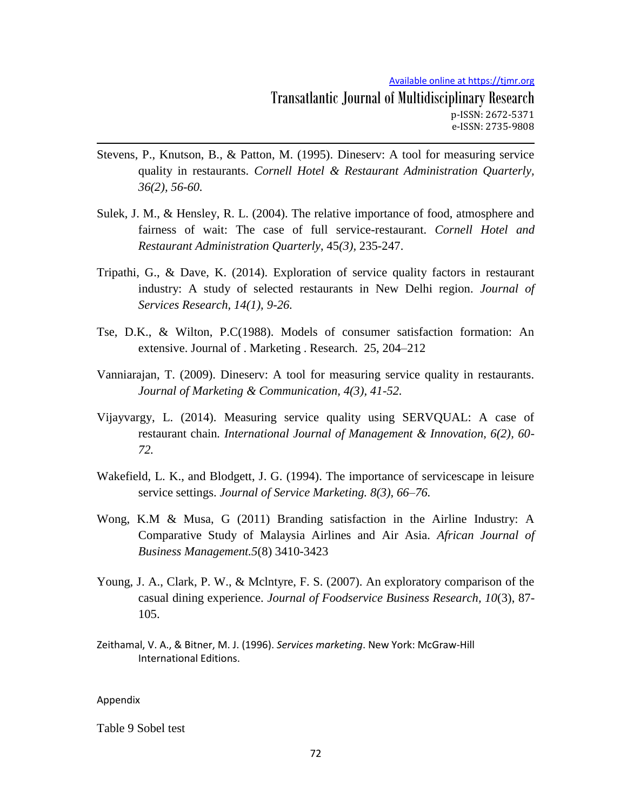- Stevens, P., Knutson, B., & Patton, M. (1995). Dineserv: A tool for measuring service quality in restaurants. *Cornell Hotel & Restaurant Administration Quarterly, 36(2), 56-60.*
- Sulek, J. M., & Hensley, R. L. (2004). The relative importance of food, atmosphere and fairness of wait: The case of full service-restaurant. *Cornell Hotel and Restaurant Administration Quarterly*, 45*(3),* 235-247.
- Tripathi, G., & Dave, K. (2014). Exploration of service quality factors in restaurant industry: A study of selected restaurants in New Delhi region. *Journal of Services Research, 14(1), 9-26.*
- Tse, D.K., & Wilton, P.C(1988). Models of consumer satisfaction formation: An extensive. Journal of . Marketing . Research. 25, 204–212
- Vanniarajan, T. (2009). Dineserv: A tool for measuring service quality in restaurants. *Journal of Marketing & Communication, 4(3), 41-52.*
- Vijayvargy, L. (2014). Measuring service quality using SERVQUAL: A case of restaurant chain*. International Journal of Management & Innovation, 6(2), 60- 72.*
- Wakefield, L. K., and Blodgett, J. G. (1994). The importance of servicescape in leisure service settings. *Journal of Service Marketing. 8(3), 66–76.*
- Wong, K.M & Musa, G (2011) Branding satisfaction in the Airline Industry: A Comparative Study of Malaysia Airlines and Air Asia. *African Journal of Business Management.5*(8) 3410-3423
- Young, J. A., Clark, P. W., & Mclntyre, F. S. (2007). An exploratory comparison of the casual dining experience. *Journal of Foodservice Business Research, 10*(3), 87- 105.
- Zeithamal, V. A., & Bitner, M. J. (1996). *Services marketing*. New York: McGraw-Hill International Editions.

#### Appendix

Table 9 Sobel test